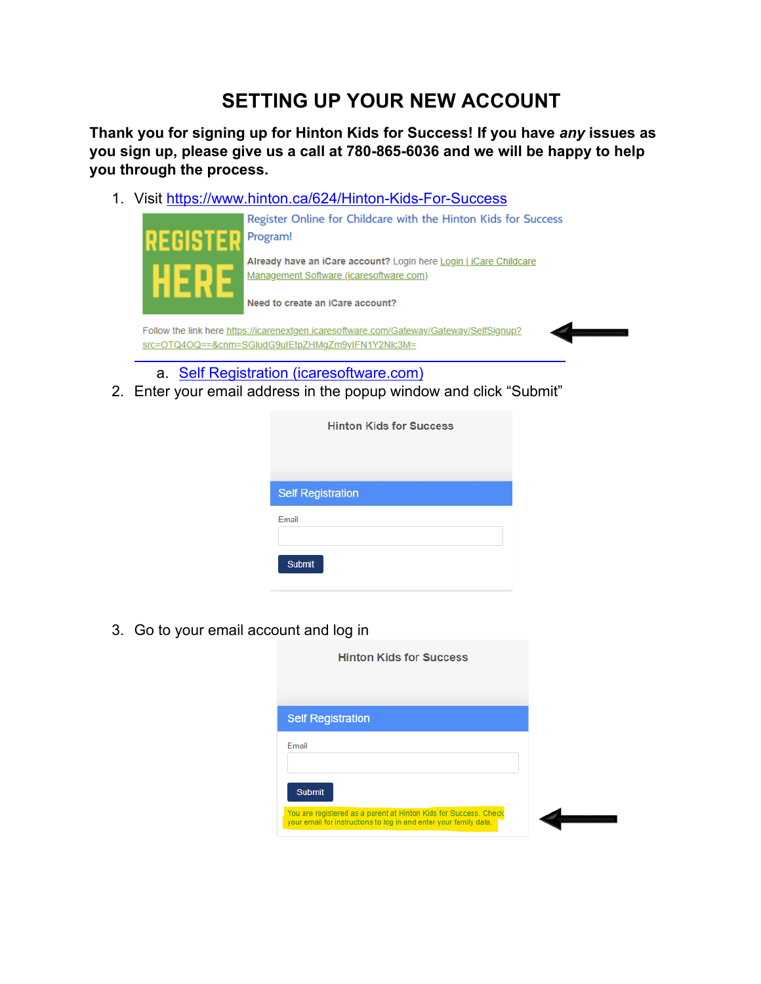# **SETTING UP YOUR NEW ACCOUNT**

**Thank you for signing up for Hinton Kids for Success! If you have** *any* **issues as you sign up, please give us a call at 780-865-6036 and we will be happy to help you through the process.**

1. Visit<https://www.hinton.ca/624/Hinton-Kids-For-Success>



- a. [Self Registration \(icaresoftware.com\)](https://icarenextgen.icaresoftware.com/Gateway/Gateway/SelfSignup?src=OTQ4OQ==&cnm=SGludG9uIEtpZHMgZm9yIFN1Y2Nlc3M=)
- 2. Enter your email address in the popup window and click "Submit"

| <b>Hinton Kids for Success</b> |  |
|--------------------------------|--|
|                                |  |
| <b>Self Registration</b>       |  |
| Email                          |  |
| <b>Submit</b>                  |  |

3. Go to your email account and log in

| <b>Hinton Kids for Success</b>                                                                                                                         |  |
|--------------------------------------------------------------------------------------------------------------------------------------------------------|--|
| <b>Self Registration</b>                                                                                                                               |  |
| Email                                                                                                                                                  |  |
| <b>Submit</b><br>You are registered as a parent at Hinton Kids for Success. Check<br>your email for instructions to log in and enter your family data. |  |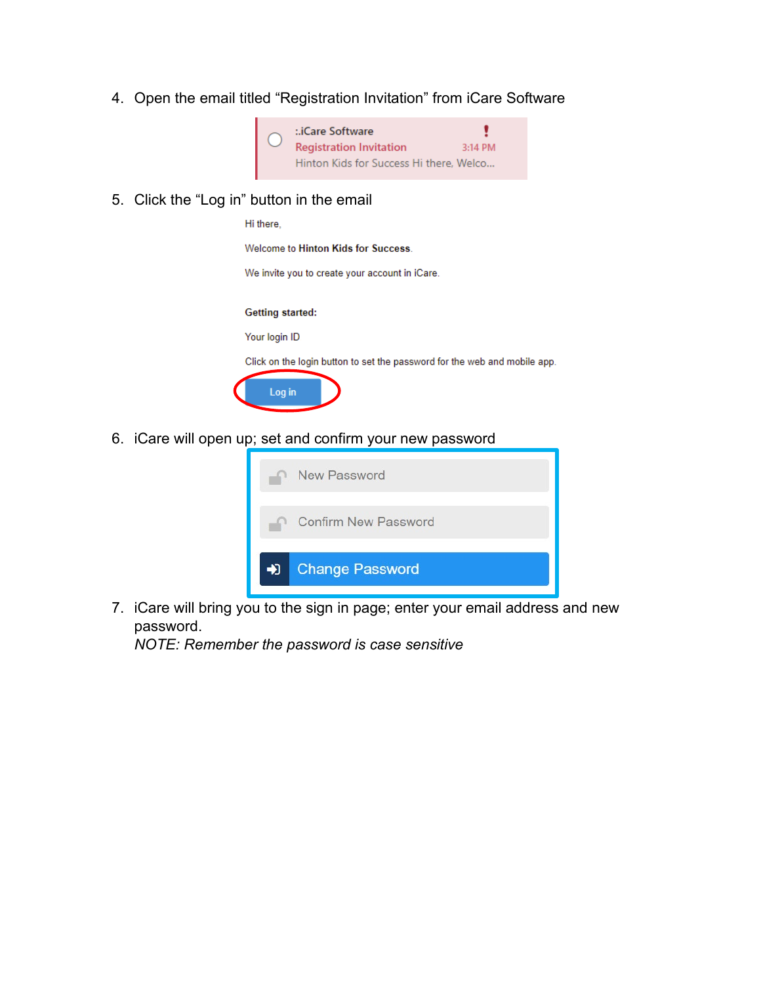4. Open the email titled "Registration Invitation" from iCare Software



5. Click the "Log in" button in the email

Hi there.

Welcome to Hinton Kids for Success.

We invite you to create your account in iCare.

### **Getting started:**

Your login ID

Click on the login button to set the password for the web and mobile app.



6. iCare will open up; set and confirm your new password



7. iCare will bring you to the sign in page; enter your email address and new password.

*NOTE: Remember the password is case sensitive*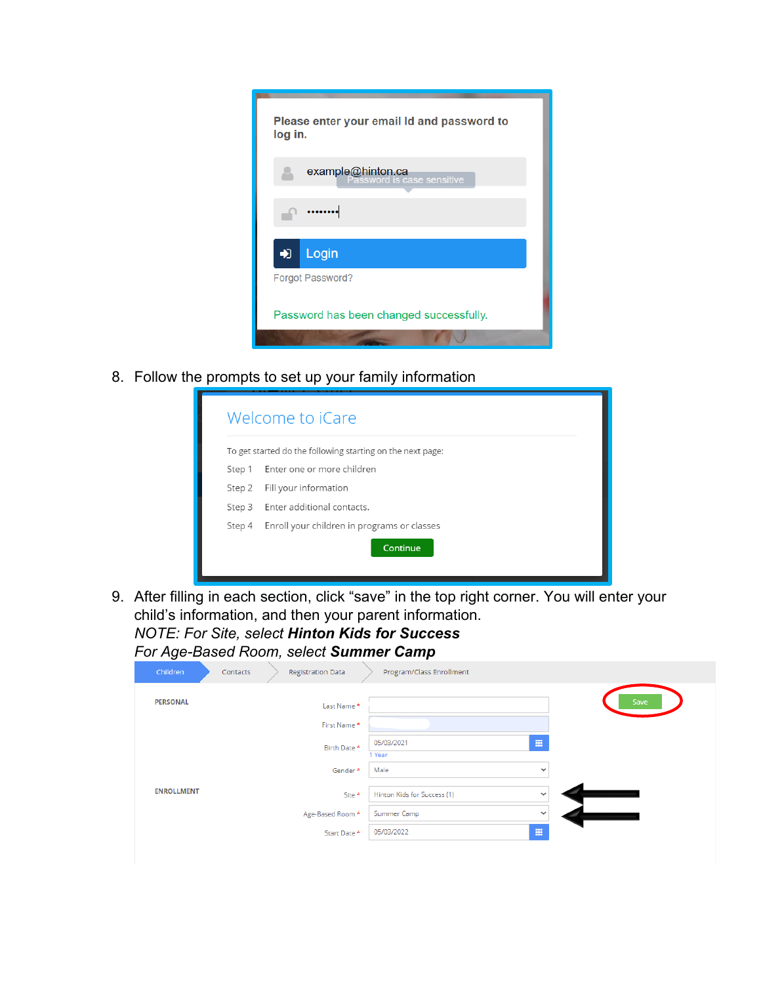

8. Follow the prompts to set up your family information

|        | Welcome to iCare                                           |
|--------|------------------------------------------------------------|
|        | To get started do the following starting on the next page: |
|        | Step 1 Enter one or more children                          |
| Step 2 | Fill your information                                      |
| Step 3 | Enter additional contacts.                                 |
| Step 4 | Enroll your children in programs or classes                |
|        | Continue                                                   |
|        |                                                            |

9. After filling in each section, click "save" in the top right corner. You will enter your child's information, and then your parent information.

*NOTE: For Site, select Hinton Kids for Success For Age-Based Room, select Summer Camp*

| -or Age-Based Room, select <b>Summer Cai</b> |  |  |
|----------------------------------------------|--|--|
|                                              |  |  |

| Children          | <b>Registration Data</b><br>Contacts | Program/Class Enrollment                    |      |
|-------------------|--------------------------------------|---------------------------------------------|------|
| <b>PERSONAL</b>   | Last Name *                          |                                             | Save |
|                   | First Name*                          |                                             |      |
|                   | Birth Date *                         | 冊<br>05/03/2021<br>1 Year                   |      |
|                   | Gender*                              | Male<br>$\checkmark$                        |      |
| <b>ENROLLMENT</b> | Site *                               | Hinton Kids for Success (1)<br>$\checkmark$ |      |
|                   | Age-Based Room *                     | Summer Camp<br>$\checkmark$                 |      |
|                   | Start Date *                         | 冊<br>05/03/2022                             |      |
|                   |                                      |                                             |      |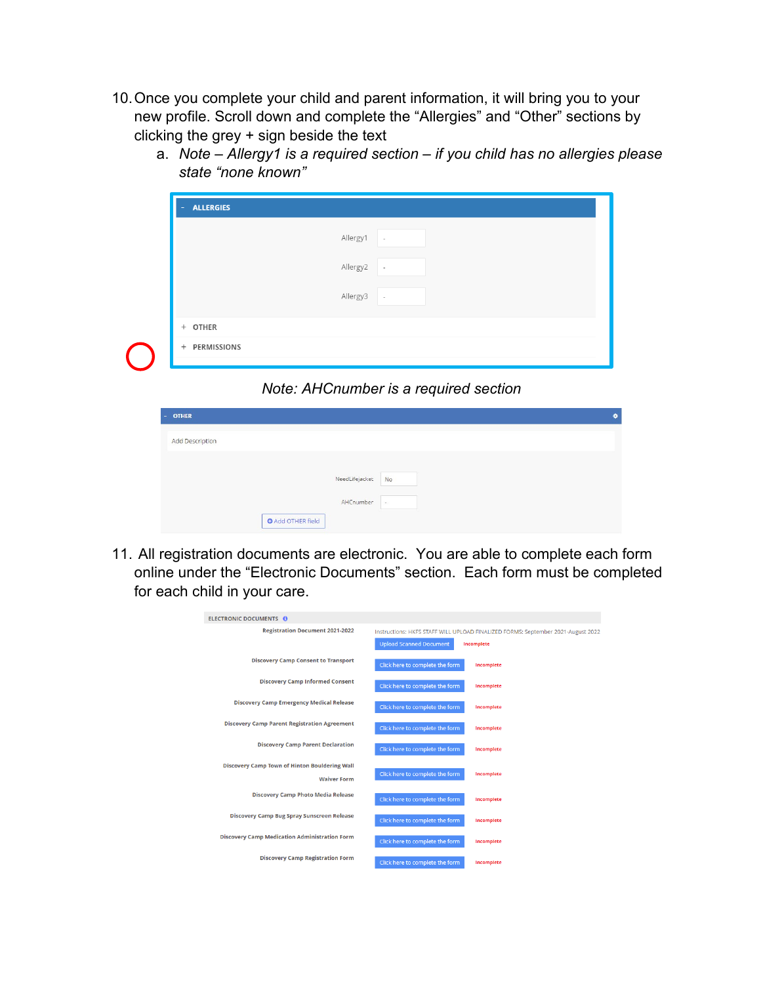10.Once you complete your child and parent information, it will bring you to your new profile. Scroll down and complete the "Allergies" and "Other" sections by clicking the grey + sign beside the text

| <b>ALLERGIES</b><br>٠ |                                      |  |
|-----------------------|--------------------------------------|--|
|                       | Allergy1<br>$\overline{\phantom{a}}$ |  |
|                       | Allergy2<br>$\overline{\phantom{a}}$ |  |
|                       | Allergy3<br>$\,$                     |  |
| + OTHER               |                                      |  |
| PERMISSIONS<br>$+$    |                                      |  |

a. *Note – Allergy1 is a required section – if you child has no allergies please state "none known"*

### *Note: AHCnumber is a required section*

| <b>OTHER</b><br>r - 1 |                          |                |        | о. |
|-----------------------|--------------------------|----------------|--------|----|
| Add Description       |                          |                |        |    |
|                       |                          | NeedLifejacket | No     |    |
|                       |                          | AHCnumber      | $\sim$ |    |
|                       | <b>O</b> Add OTHER field |                |        |    |

11. All registration documents are electronic. You are able to complete each form online under the "Electronic Documents" section. Each form must be completed for each child in your care.

| <b>ELECTRONIC DOCUMENTS O</b>                        |                                                                                  |
|------------------------------------------------------|----------------------------------------------------------------------------------|
| <b>Registration Document 2021-2022</b>               | Instructions: HKFS STAFF WILL UPLOAD FINALIZED FORMS: September 2021-August 2022 |
|                                                      | <b>Upload Scanned Document</b><br>Incomplete                                     |
| <b>Discovery Camp Consent to Transport</b>           | Click here to complete the form<br>Incomplete                                    |
| <b>Discovery Camp Informed Consent</b>               | Click here to complete the form<br>Incomplete                                    |
| <b>Discovery Camp Emergency Medical Release</b>      | Click here to complete the form<br>Incomplete                                    |
| <b>Discovery Camp Parent Registration Agreement</b>  | Click here to complete the form<br>Incomplete                                    |
| <b>Discovery Camp Parent Declaration</b>             | Click here to complete the form<br>Incomplete                                    |
| Discovery Camp Town of Hinton Bouldering Wall        |                                                                                  |
| <b>Waiver Form</b>                                   | Click here to complete the form<br>Incomplete                                    |
| <b>Discovery Camp Photo Media Release</b>            | Click here to complete the form<br>Incomplete                                    |
| <b>Discovery Camp Bug Spray Sunscreen Release</b>    | Click here to complete the form<br>Incomplete                                    |
| <b>Discovery Camp Medication Administration Form</b> | Click here to complete the form<br>Incomplete                                    |
| <b>Discovery Camp Registration Form</b>              | Click here to complete the form<br>Incomplete                                    |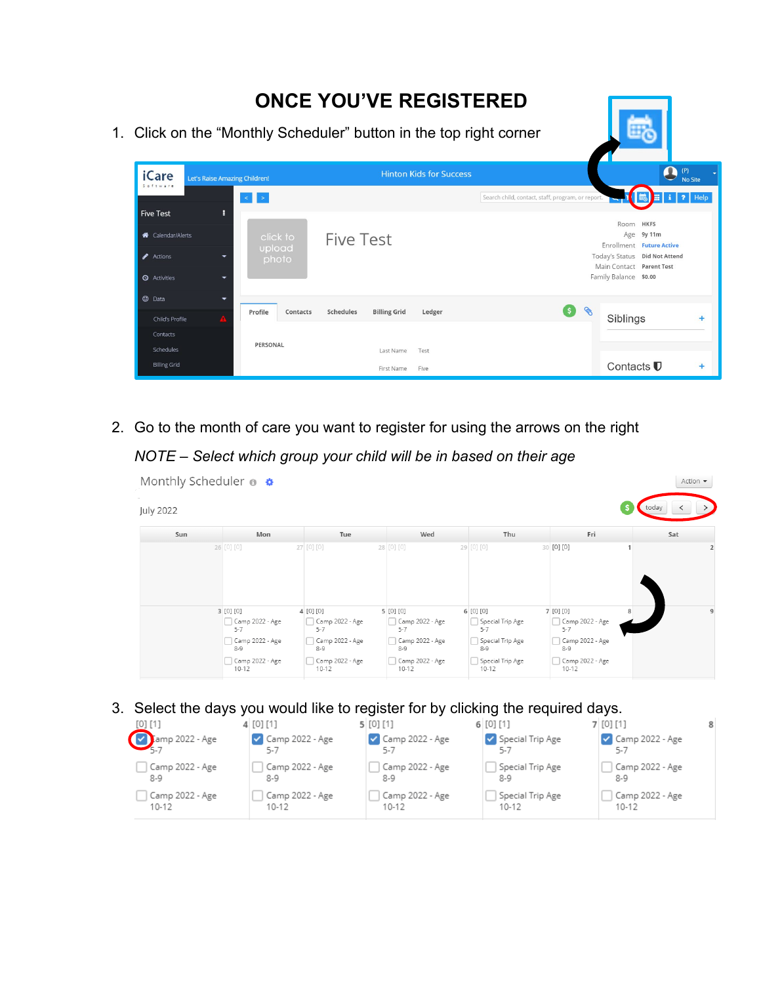#### **ONCE YOU'VE REGISTERED** 1. Click on the "Monthly Scheduler" button in the top right corner  $\overline{\mathbf{e}}_{\text{No Site}}$ **Hinton Kids for Success iCare** et's Raise Amazing Children!  $\left\vert \left\langle \cdot\right\vert \right\vert >1$ Search child, contact, staff, program, or repi  $i$  ? Help **Five Test** ä Room HKFS Age 9y 11m click to<br>upload **4** Calendar/Alerts **Five Test** Enrollment Future Active Actions Today's Status Did Not Attend Main Contact Parent Test Family Balance \$0.00 **Q** Activities  $\odot$  Data 68 Profile Contacts Schedules **Billing Grid** Ledger Child's Profile Siblings Contacts PERSONAL Schedules Last Name Test **Billing Grid** Contacts<sup>1</sup> First Name Five

2. Go to the month of care you want to register for using the arrows on the right

## *NOTE – Select which group your child will be in based on their age*

|                  | Monthly Scheduler <sup>®</sup>                                                                        |                                                                                                       |                                                                                                   |                                                                                                    |                                                                                                       |       | Action - |
|------------------|-------------------------------------------------------------------------------------------------------|-------------------------------------------------------------------------------------------------------|---------------------------------------------------------------------------------------------------|----------------------------------------------------------------------------------------------------|-------------------------------------------------------------------------------------------------------|-------|----------|
| <b>July 2022</b> |                                                                                                       |                                                                                                       |                                                                                                   |                                                                                                    |                                                                                                       | today |          |
| Sun              | Mon                                                                                                   | Tue                                                                                                   | Wed                                                                                               | Thu                                                                                                | Fri                                                                                                   |       | Sat      |
|                  | 26 [0] [0]                                                                                            | 27 [0] [0]                                                                                            | 28 [0] [0]                                                                                        | 29 [0] [0]                                                                                         | 30 [0] [0]                                                                                            |       |          |
|                  | 3 [0] [0]<br>Camp 2022 - Age<br>$5 - 7$<br>Camp 2022 - Age<br>$8 - 9$<br>Camp 2022 - Age<br>$10 - 12$ | 4 [0] [0]<br>Camp 2022 - Age<br>$5 - 7$<br>Camp 2022 - Age<br>$8 - 9$<br>Camp 2022 - Age<br>$10 - 12$ | 5 [0] [0]<br>Camp 2022 - Age<br>$5 - 7$<br>Camp 2022 - Age<br>$8 - 9$<br>Camp 2022 - Age<br>10-12 | 6 [0] [0]<br>Special Trip Age<br>$5 - 7$<br>Special Trip Age<br>$8-9$<br>Special Trip Age<br>10-12 | 7 [0] [0]<br>Camp 2022 - Age<br>$5 - 7$<br>Camp 2022 - Age<br>$8 - 9$<br>Camp 2022 - Age<br>$10 - 12$ |       | 9        |

### 3. Select the days you would like to register for by clicking the required days.

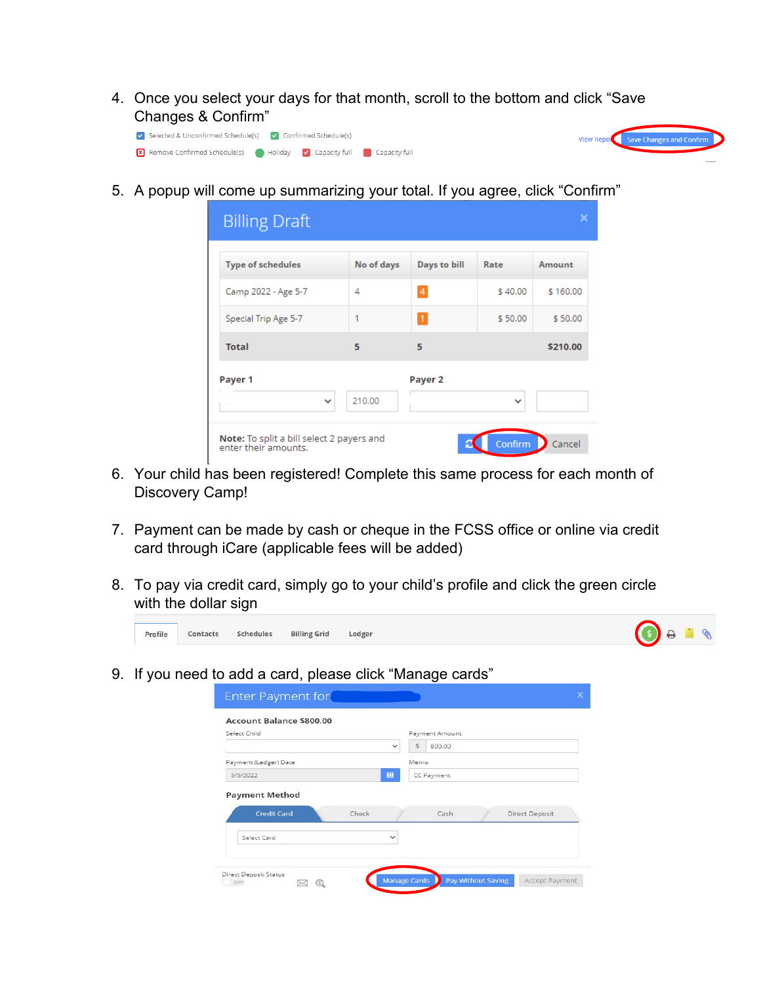4. Once you select your days for that month, scroll to the bottom and click "Save Changes & Confirm"

Save Changes and Co



5. A popup will come up summarizing your total. If you agree, click "Confirm"

| <b>Billing Draft</b>                                              |                |              |              | ×        |
|-------------------------------------------------------------------|----------------|--------------|--------------|----------|
| <b>Type of schedules</b>                                          | No of days     | Days to bill | Rate         | Amount   |
| Camp 2022 - Age 5-7                                               | $\overline{4}$ | 4            | \$40.00      | \$160.00 |
| Special Trip Age 5-7                                              | 1              | $\mathbf{1}$ | \$50.00      | \$50.00  |
| <b>Total</b>                                                      | 5              | 5            |              | \$210.00 |
| Payer 1                                                           |                | Payer 2      |              |          |
| $\checkmark$                                                      | 210.00         |              | $\checkmark$ |          |
| Note: To split a bill select 2 payers and<br>enter their amounts. |                |              | Confirm      | Cancel   |

- 6. Your child has been registered! Complete this same process for each month of Discovery Camp!
- 7. Payment can be made by cash or cheque in the FCSS office or online via credit card through iCare (applicable fees will be added)
- 8. To pay via credit card, simply go to your child's profile and click the green circle with the dollar sign



9. If you need to add a card, please click "Manage cards"

| Payment Amount<br>$\mathbb{S}$<br>800.00<br>$\checkmark$ |  |
|----------------------------------------------------------|--|
| Memo                                                     |  |
| 噩<br>CC Payment                                          |  |
| Cash<br>Direct Deposit                                   |  |
| $\checkmark$                                             |  |
|                                                          |  |